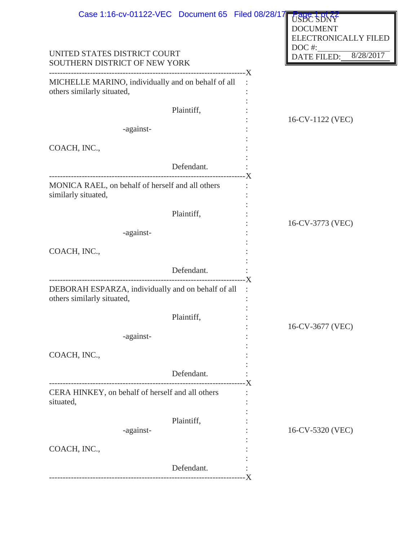| Case 1:16-cv-01122-VEC Document 65 Filed 08/28/17                                |              |                          |                                                               |  |
|----------------------------------------------------------------------------------|--------------|--------------------------|---------------------------------------------------------------|--|
|                                                                                  |              |                          | USBC SDNY<br><b>DOCUMENT</b><br>ELECTRONICALLY FILED<br>DOC#: |  |
| UNITED STATES DISTRICT COURT<br>SOUTHERN DISTRICT OF NEW YORK                    |              | 8/28/2017<br>DATE FILED: |                                                               |  |
| MICHELLE MARINO, individually and on behalf of all<br>others similarly situated, |              |                          |                                                               |  |
|                                                                                  | Plaintiff,   |                          | 16-CV-1122 (VEC)                                              |  |
| -against-                                                                        |              |                          |                                                               |  |
| COACH, INC.,                                                                     |              |                          |                                                               |  |
|                                                                                  | Defendant.   | - X                      |                                                               |  |
| MONICA RAEL, on behalf of herself and all others<br>similarly situated,          |              |                          |                                                               |  |
|                                                                                  | Plaintiff,   |                          | 16-CV-3773 (VEC)                                              |  |
| -against-                                                                        |              |                          |                                                               |  |
| COACH, INC.,                                                                     |              |                          |                                                               |  |
|                                                                                  | Defendant.   |                          |                                                               |  |
| DEBORAH ESPARZA, individually and on behalf of all<br>others similarly situated, |              | -X                       |                                                               |  |
|                                                                                  | Plaintiff,   |                          | 16-CV-3677 (VEC)                                              |  |
| -against-                                                                        |              |                          |                                                               |  |
| COACH, INC.,                                                                     |              |                          |                                                               |  |
|                                                                                  | Defendant.   |                          |                                                               |  |
| CERA HINKEY, on behalf of herself and all others<br>situated,                    | ------------ |                          |                                                               |  |
| -against-                                                                        | Plaintiff,   |                          | 16-CV-5320 (VEC)                                              |  |
| COACH, INC.,                                                                     |              |                          |                                                               |  |
|                                                                                  | Defendant.   | - X                      |                                                               |  |
|                                                                                  |              |                          |                                                               |  |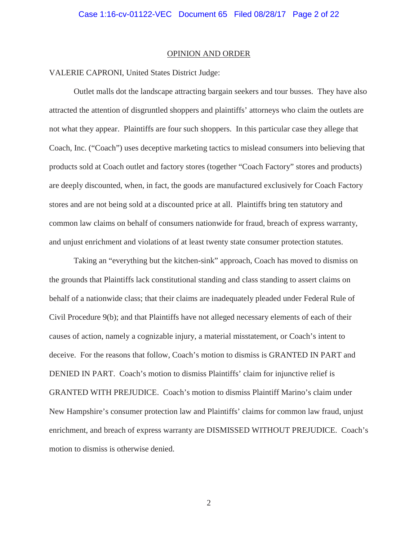#### OPINION AND ORDER

## VALERIE CAPRONI, United States District Judge:

 Outlet malls dot the landscape attracting bargain seekers and tour busses. They have also attracted the attention of disgruntled shoppers and plaintiffs' attorneys who claim the outlets are not what they appear. Plaintiffs are four such shoppers. In this particular case they allege that Coach, Inc. ("Coach") uses deceptive marketing tactics to mislead consumers into believing that products sold at Coach outlet and factory stores (together "Coach Factory" stores and products) are deeply discounted, when, in fact, the goods are manufactured exclusively for Coach Factory stores and are not being sold at a discounted price at all. Plaintiffs bring ten statutory and common law claims on behalf of consumers nationwide for fraud, breach of express warranty, and unjust enrichment and violations of at least twenty state consumer protection statutes.

Taking an "everything but the kitchen-sink" approach, Coach has moved to dismiss on the grounds that Plaintiffs lack constitutional standing and class standing to assert claims on behalf of a nationwide class; that their claims are inadequately pleaded under Federal Rule of Civil Procedure 9(b); and that Plaintiffs have not alleged necessary elements of each of their causes of action, namely a cognizable injury, a material misstatement, or Coach's intent to deceive. For the reasons that follow, Coach's motion to dismiss is GRANTED IN PART and DENIED IN PART. Coach's motion to dismiss Plaintiffs' claim for injunctive relief is GRANTED WITH PREJUDICE. Coach's motion to dismiss Plaintiff Marino's claim under New Hampshire's consumer protection law and Plaintiffs' claims for common law fraud, unjust enrichment, and breach of express warranty are DISMISSED WITHOUT PREJUDICE. Coach's motion to dismiss is otherwise denied.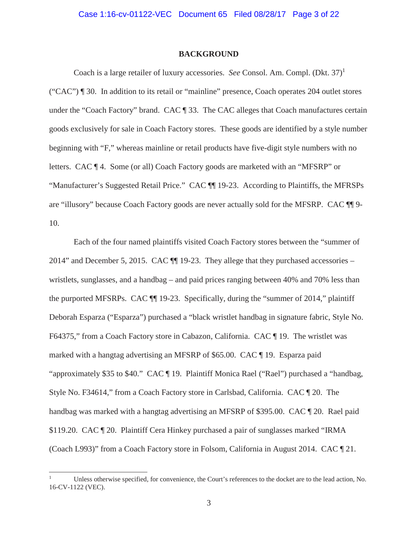#### **BACKGROUND**

Coach is a large retailer of luxury accessories. *See* Consol. Am. Compl. (Dkt. 37)<sup>1</sup> ("CAC") ¶ 30. In addition to its retail or "mainline" presence, Coach operates 204 outlet stores under the "Coach Factory" brand. CAC ¶ 33. The CAC alleges that Coach manufactures certain goods exclusively for sale in Coach Factory stores. These goods are identified by a style number beginning with "F," whereas mainline or retail products have five-digit style numbers with no letters. CAC ¶ 4. Some (or all) Coach Factory goods are marketed with an "MFSRP" or "Manufacturer's Suggested Retail Price." CAC ¶¶ 19-23. According to Plaintiffs, the MFRSPs are "illusory" because Coach Factory goods are never actually sold for the MFSRP. CAC ¶¶ 9- 10.

Each of the four named plaintiffs visited Coach Factory stores between the "summer of 2014" and December 5, 2015. CAC ¶¶ 19-23. They allege that they purchased accessories – wristlets, sunglasses, and a handbag – and paid prices ranging between 40% and 70% less than the purported MFSRPs. CAC ¶¶ 19-23. Specifically, during the "summer of 2014," plaintiff Deborah Esparza ("Esparza") purchased a "black wristlet handbag in signature fabric, Style No. F64375," from a Coach Factory store in Cabazon, California. CAC ¶ 19. The wristlet was marked with a hangtag advertising an MFSRP of \$65.00. CAC ¶ 19. Esparza paid "approximately \$35 to \$40." CAC ¶ 19. Plaintiff Monica Rael ("Rael") purchased a "handbag, Style No. F34614," from a Coach Factory store in Carlsbad, California. CAC ¶ 20. The handbag was marked with a hangtag advertising an MFSRP of \$395.00. CAC  $\P$  20. Rael paid \$119.20. CAC ¶ 20. Plaintiff Cera Hinkey purchased a pair of sunglasses marked "IRMA (Coach L993)" from a Coach Factory store in Folsom, California in August 2014. CAC ¶ 21.

 $\overline{a}$ 

<sup>1</sup> Unless otherwise specified, for convenience, the Court's references to the docket are to the lead action, No. 16-CV-1122 (VEC).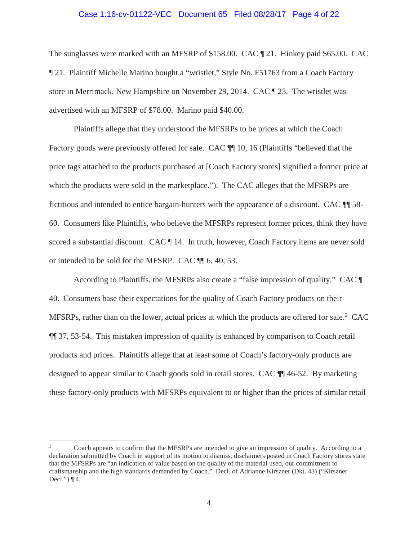### Case 1:16-cv-01122-VEC Document 65 Filed 08/28/17 Page 4 of 22

The sunglasses were marked with an MFSRP of \$158.00. CAC ¶ 21. Hinkey paid \$65.00. CAC ¶ 21. Plaintiff Michelle Marino bought a "wristlet," Style No. F51763 from a Coach Factory store in Merrimack, New Hampshire on November 29, 2014. CAC ¶ 23. The wristlet was advertised with an MFSRP of \$78.00. Marino paid \$40.00.

Plaintiffs allege that they understood the MFSRPs to be prices at which the Coach Factory goods were previously offered for sale. CAC  $\P$  10, 16 (Plaintiffs "believed that the price tags attached to the products purchased at [Coach Factory stores] signified a former price at which the products were sold in the marketplace."). The CAC alleges that the MFSRPs are fictitious and intended to entice bargain-hunters with the appearance of a discount. CAC ¶¶ 58- 60. Consumers like Plaintiffs, who believe the MFSRPs represent former prices, think they have scored a substantial discount. CAC ¶ 14. In truth, however, Coach Factory items are never sold or intended to be sold for the MFSRP. CAC ¶¶ 6, 40, 53.

According to Plaintiffs, the MFSRPs also create a "false impression of quality." CAC ¶ 40. Consumers base their expectations for the quality of Coach Factory products on their MFSRPs, rather than on the lower, actual prices at which the products are offered for sale.<sup>2</sup> CAC ¶¶ 37, 53-54. This mistaken impression of quality is enhanced by comparison to Coach retail products and prices. Plaintiffs allege that at least some of Coach's factory-only products are designed to appear similar to Coach goods sold in retail stores. CAC ¶¶ 46-52. By marketing these factory-only products with MFSRPs equivalent to or higher than the prices of similar retail

 $\overline{a}$ 

<sup>2</sup> Coach appears to confirm that the MFSRPs are intended to give an impression of quality. According to a declaration submitted by Coach in support of its motion to dismiss, disclaimers posted in Coach Factory stores state that the MFSRPs are "an indication of value based on the quality of the material used, our commitment to craftsmanship and the high standards demanded by Coach." Decl. of Adrianne Kirszner (Dkt. 43) ("Kirszner Decl.")  $\P$ 4.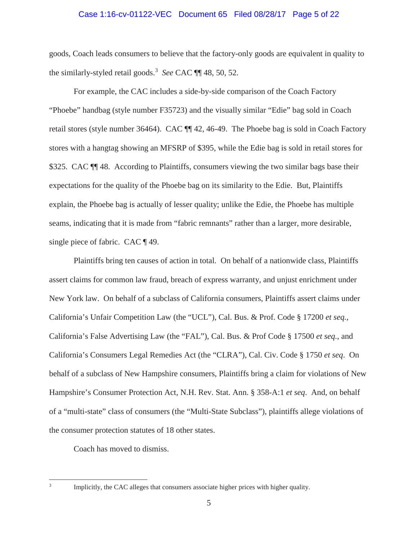### Case 1:16-cv-01122-VEC Document 65 Filed 08/28/17 Page 5 of 22

goods, Coach leads consumers to believe that the factory-only goods are equivalent in quality to the similarly-styled retail goods.<sup>3</sup> *See* CAC ¶¶ 48, 50, 52.

For example, the CAC includes a side-by-side comparison of the Coach Factory "Phoebe" handbag (style number F35723) and the visually similar "Edie" bag sold in Coach retail stores (style number 36464). CAC ¶¶ 42, 46-49. The Phoebe bag is sold in Coach Factory stores with a hangtag showing an MFSRP of \$395, while the Edie bag is sold in retail stores for \$325. CAC  $\P$  48. According to Plaintiffs, consumers viewing the two similar bags base their expectations for the quality of the Phoebe bag on its similarity to the Edie. But, Plaintiffs explain, the Phoebe bag is actually of lesser quality; unlike the Edie, the Phoebe has multiple seams, indicating that it is made from "fabric remnants" rather than a larger, more desirable, single piece of fabric. CAC  $\P$  49.

Plaintiffs bring ten causes of action in total. On behalf of a nationwide class, Plaintiffs assert claims for common law fraud, breach of express warranty, and unjust enrichment under New York law. On behalf of a subclass of California consumers, Plaintiffs assert claims under California's Unfair Competition Law (the "UCL"), Cal. Bus. & Prof. Code § 17200 *et seq.*, California's False Advertising Law (the "FAL"), Cal. Bus. & Prof Code § 17500 *et seq.*, and California's Consumers Legal Remedies Act (the "CLRA"), Cal. Civ. Code § 1750 *et seq*. On behalf of a subclass of New Hampshire consumers, Plaintiffs bring a claim for violations of New Hampshire's Consumer Protection Act, N.H. Rev. Stat. Ann. § 358-A:1 *et seq*. And, on behalf of a "multi-state" class of consumers (the "Multi-State Subclass"), plaintiffs allege violations of the consumer protection statutes of 18 other states.

Coach has moved to dismiss.

<sup>-</sup><br>3

Implicitly, the CAC alleges that consumers associate higher prices with higher quality.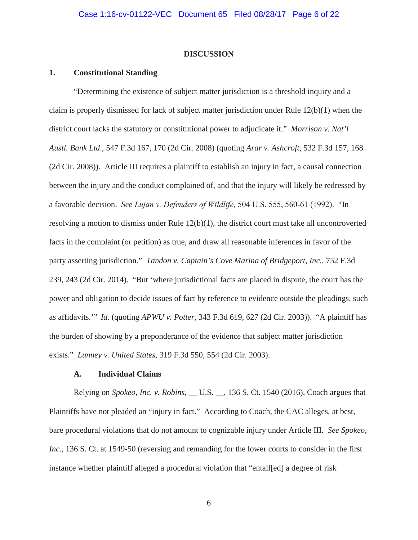### **DISCUSSION**

# **1. Constitutional Standing**

"Determining the existence of subject matter jurisdiction is a threshold inquiry and a claim is properly dismissed for lack of subject matter jurisdiction under Rule  $12(b)(1)$  when the district court lacks the statutory or constitutional power to adjudicate it." *Morrison v. Nat'l Austl. Bank Ltd*., 547 F.3d 167, 170 (2d Cir. 2008) (quoting *Arar v. Ashcroft*, 532 F.3d 157, 168 (2d Cir. 2008)). Article III requires a plaintiff to establish an injury in fact, a causal connection between the injury and the conduct complained of, and that the injury will likely be redressed by a favorable decision. *See Lujan v. Defenders of Wildlife,* 504 U.S. 555, 560-61 (1992). "In resolving a motion to dismiss under Rule 12(b)(1), the district court must take all uncontroverted facts in the complaint (or petition) as true, and draw all reasonable inferences in favor of the party asserting jurisdiction." *Tandon v. Captain's Cove Marina of Bridgeport, Inc.,* 752 F.3d 239, 243 (2d Cir. 2014). "But 'where jurisdictional facts are placed in dispute, the court has the power and obligation to decide issues of fact by reference to evidence outside the pleadings, such as affidavits.'" *Id.* (quoting *APWU v. Potter,* 343 F.3d 619, 627 (2d Cir. 2003)). "A plaintiff has the burden of showing by a preponderance of the evidence that subject matter jurisdiction exists." *Lunney v. United States*, 319 F.3d 550, 554 (2d Cir. 2003).

### **A. Individual Claims**

Relying on *Spokeo, Inc. v. Robins*, \_\_ U.S. \_\_, 136 S. Ct. 1540 (2016), Coach argues that Plaintiffs have not pleaded an "injury in fact." According to Coach, the CAC alleges, at best, bare procedural violations that do not amount to cognizable injury under Article III. *See Spokeo, Inc.*, 136 S. Ct. at 1549-50 (reversing and remanding for the lower courts to consider in the first instance whether plaintiff alleged a procedural violation that "entail[ed] a degree of risk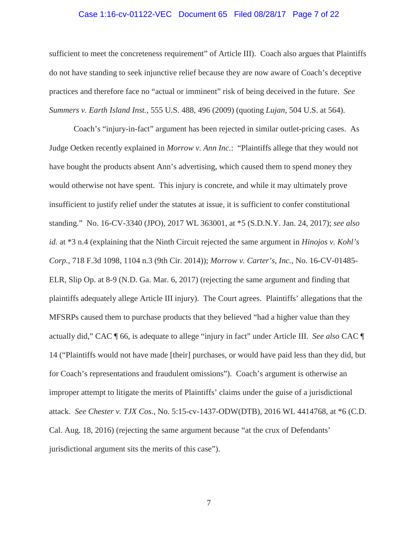### Case 1:16-cv-01122-VEC Document 65 Filed 08/28/17 Page 7 of 22

sufficient to meet the concreteness requirement" of Article III). Coach also argues that Plaintiffs do not have standing to seek injunctive relief because they are now aware of Coach's deceptive practices and therefore face no "actual or imminent" risk of being deceived in the future. *See Summers v. Earth Island Inst.*, 555 U.S. 488, 496 (2009) (quoting *Lujan*, 504 U.S. at 564).

Coach's "injury-in-fact" argument has been rejected in similar outlet-pricing cases. As Judge Oetken recently explained in *Morrow v. Ann Inc.*: "Plaintiffs allege that they would not have bought the products absent Ann's advertising, which caused them to spend money they would otherwise not have spent. This injury is concrete, and while it may ultimately prove insufficient to justify relief under the statutes at issue, it is sufficient to confer constitutional standing." No. 16-CV-3340 (JPO), 2017 WL 363001, at \*5 (S.D.N.Y. Jan. 24, 2017); *see also id.* at \*3 n.4 (explaining that the Ninth Circuit rejected the same argument in *Hinojos v. Kohl's Corp.*, 718 F.3d 1098, 1104 n.3 (9th Cir. 2014)); *Morrow v. Carter's, Inc.*, No. 16-CV-01485- ELR, Slip Op. at 8-9 (N.D. Ga. Mar. 6, 2017) (rejecting the same argument and finding that plaintiffs adequately allege Article III injury). The Court agrees. Plaintiffs' allegations that the MFSRPs caused them to purchase products that they believed "had a higher value than they actually did," CAC ¶ 66, is adequate to allege "injury in fact" under Article III. *See also* CAC ¶ 14 ("Plaintiffs would not have made [their] purchases, or would have paid less than they did, but for Coach's representations and fraudulent omissions"). Coach's argument is otherwise an improper attempt to litigate the merits of Plaintiffs' claims under the guise of a jurisdictional attack. *See Chester v. TJX Cos.*, No. 5:15-cv-1437-ODW(DTB), 2016 WL 4414768, at \*6 (C.D. Cal. Aug. 18, 2016) (rejecting the same argument because "at the crux of Defendants' jurisdictional argument sits the merits of this case").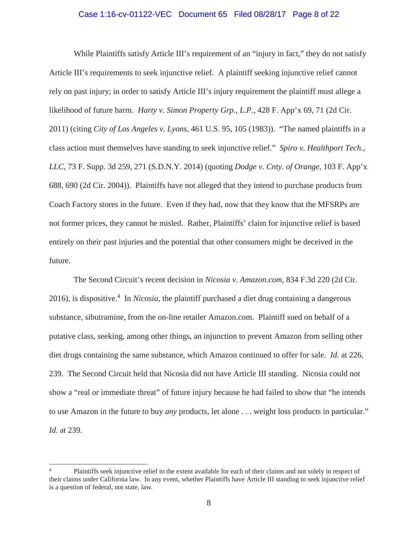### Case 1:16-cv-01122-VEC Document 65 Filed 08/28/17 Page 8 of 22

While Plaintiffs satisfy Article III's requirement of an "injury in fact," they do not satisfy Article III's requirements to seek injunctive relief. A plaintiff seeking injunctive relief cannot rely on past injury; in order to satisfy Article III's injury requirement the plaintiff must allege a likelihood of future harm. *Harty v. Simon Property Grp., L.P.*, 428 F. App'x 69, 71 (2d Cir. 2011) (citing *City of Los Angeles v. Lyons*, 461 U.S. 95, 105 (1983)). "The named plaintiffs in a class action must themselves have standing to seek injunctive relief." *Spiro v. Healthport Tech., LLC*, 73 F. Supp. 3d 259, 271 (S.D.N.Y. 2014) (quoting *Dodge v. Cnty. of Orange*, 103 F. App'x 688, 690 (2d Cir. 2004)). Plaintiffs have not alleged that they intend to purchase products from Coach Factory stores in the future. Even if they had, now that they know that the MFSRPs are not former prices, they cannot be misled. Rather, Plaintiffs' claim for injunctive relief is based entirely on their past injuries and the potential that other consumers might be deceived in the future.

The Second Circuit's recent decision in *Nicosia v. Amazon.com*, 834 F.3d 220 (2d Cir. 2016), is dispositive.<sup>4</sup> In *Nicosia*, the plaintiff purchased a diet drug containing a dangerous substance, sibutramine, from the on-line retailer Amazon.com. Plaintiff sued on behalf of a putative class, seeking, among other things, an injunction to prevent Amazon from selling other diet drugs containing the same substance, which Amazon continued to offer for sale. *Id.* at 226, 239. The Second Circuit held that Nicosia did not have Article III standing. Nicosia could not show a "real or immediate threat" of future injury because he had failed to show that "he intends to use Amazon in the future to buy *any* products, let alone . . . weight loss products in particular." *Id.* at 239.

 $\overline{a}$ 

<sup>4</sup> Plaintiffs seek injunctive relief to the extent available for each of their claims and not solely in respect of their claims under California law. In any event, whether Plaintiffs have Article III standing to seek injunctive relief is a question of federal, not state, law.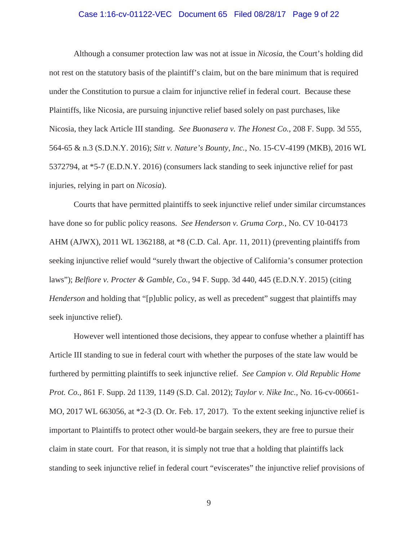### Case 1:16-cv-01122-VEC Document 65 Filed 08/28/17 Page 9 of 22

Although a consumer protection law was not at issue in *Nicosia,* the Court's holding did not rest on the statutory basis of the plaintiff's claim, but on the bare minimum that is required under the Constitution to pursue a claim for injunctive relief in federal court. Because these Plaintiffs, like Nicosia, are pursuing injunctive relief based solely on past purchases, like Nicosia, they lack Article III standing. *See Buonasera v. The Honest Co.*, 208 F. Supp. 3d 555, 564-65 & n.3 (S.D.N.Y. 2016); *Sitt v. Nature's Bounty, Inc.*, No. 15-CV-4199 (MKB), 2016 WL 5372794, at \*5-7 (E.D.N.Y. 2016) (consumers lack standing to seek injunctive relief for past injuries, relying in part on *Nicosia*).

Courts that have permitted plaintiffs to seek injunctive relief under similar circumstances have done so for public policy reasons. *See Henderson v. Gruma Corp.*, No. CV 10-04173 AHM (AJWX), 2011 WL 1362188, at \*8 (C.D. Cal. Apr. 11, 2011) (preventing plaintiffs from seeking injunctive relief would "surely thwart the objective of California's consumer protection laws"); *Belfiore v. Procter & Gamble, Co.*, 94 F. Supp. 3d 440, 445 (E.D.N.Y. 2015) (citing *Henderson* and holding that "[p]ublic policy, as well as precedent" suggest that plaintiffs may seek injunctive relief).

However well intentioned those decisions, they appear to confuse whether a plaintiff has Article III standing to sue in federal court with whether the purposes of the state law would be furthered by permitting plaintiffs to seek injunctive relief. *See Campion v. Old Republic Home Prot. Co.*, 861 F. Supp. 2d 1139, 1149 (S.D. Cal. 2012); *Taylor v. Nike Inc.*, No. 16-cv-00661- MO, 2017 WL 663056, at \*2-3 (D. Or. Feb. 17, 2017). To the extent seeking injunctive relief is important to Plaintiffs to protect other would-be bargain seekers, they are free to pursue their claim in state court. For that reason, it is simply not true that a holding that plaintiffs lack standing to seek injunctive relief in federal court "eviscerates" the injunctive relief provisions of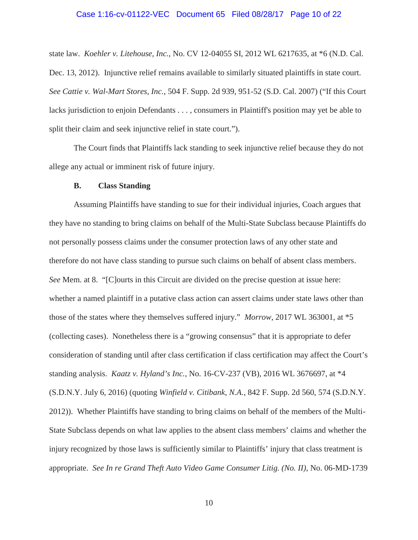### Case 1:16-cv-01122-VEC Document 65 Filed 08/28/17 Page 10 of 22

state law. *Koehler v. Litehouse, Inc.*, No. CV 12-04055 SI, 2012 WL 6217635, at \*6 (N.D. Cal. Dec. 13, 2012). Injunctive relief remains available to similarly situated plaintiffs in state court. *See Cattie v. Wal-Mart Stores, Inc.*, 504 F. Supp. 2d 939, 951-52 (S.D. Cal. 2007) ("If this Court lacks jurisdiction to enjoin Defendants . . . , consumers in Plaintiff's position may yet be able to split their claim and seek injunctive relief in state court.").

The Court finds that Plaintiffs lack standing to seek injunctive relief because they do not allege any actual or imminent risk of future injury.

#### **B. Class Standing**

Assuming Plaintiffs have standing to sue for their individual injuries, Coach argues that they have no standing to bring claims on behalf of the Multi-State Subclass because Plaintiffs do not personally possess claims under the consumer protection laws of any other state and therefore do not have class standing to pursue such claims on behalf of absent class members. *See* Mem. at 8. "[C]ourts in this Circuit are divided on the precise question at issue here: whether a named plaintiff in a putative class action can assert claims under state laws other than those of the states where they themselves suffered injury." *Morrow*, 2017 WL 363001, at \*5 (collecting cases). Nonetheless there is a "growing consensus" that it is appropriate to defer consideration of standing until after class certification if class certification may affect the Court's standing analysis. *Kaatz v. Hyland's Inc.*, No. 16-CV-237 (VB), 2016 WL 3676697, at \*4 (S.D.N.Y. July 6, 2016) (quoting *Winfield v. Citibank, N.A.*, 842 F. Supp. 2d 560, 574 (S.D.N.Y. 2012)). Whether Plaintiffs have standing to bring claims on behalf of the members of the Multi-State Subclass depends on what law applies to the absent class members' claims and whether the injury recognized by those laws is sufficiently similar to Plaintiffs' injury that class treatment is appropriate. *See In re Grand Theft Auto Video Game Consumer Litig. (No. II)*, No. 06-MD-1739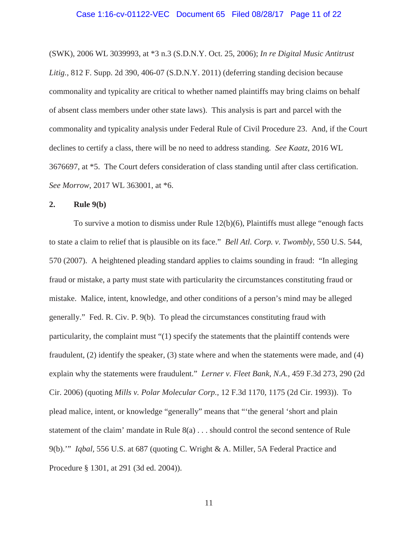(SWK), 2006 WL 3039993, at \*3 n.3 (S.D.N.Y. Oct. 25, 2006); *In re Digital Music Antitrust Litig.*, 812 F. Supp. 2d 390, 406-07 (S.D.N.Y. 2011) (deferring standing decision because commonality and typicality are critical to whether named plaintiffs may bring claims on behalf of absent class members under other state laws). This analysis is part and parcel with the commonality and typicality analysis under Federal Rule of Civil Procedure 23. And, if the Court declines to certify a class, there will be no need to address standing. *See Kaatz*, 2016 WL 3676697, at \*5. The Court defers consideration of class standing until after class certification. *See Morrow*, 2017 WL 363001, at \*6.

## **2. Rule 9(b)**

To survive a motion to dismiss under Rule 12(b)(6), Plaintiffs must allege "enough facts to state a claim to relief that is plausible on its face." *Bell Atl. Corp. v. Twombly*, 550 U.S. 544, 570 (2007). A heightened pleading standard applies to claims sounding in fraud: "In alleging fraud or mistake, a party must state with particularity the circumstances constituting fraud or mistake. Malice, intent, knowledge, and other conditions of a person's mind may be alleged generally." Fed. R. Civ. P. 9(b). To plead the circumstances constituting fraud with particularity, the complaint must "(1) specify the statements that the plaintiff contends were fraudulent, (2) identify the speaker, (3) state where and when the statements were made, and (4) explain why the statements were fraudulent." *Lerner v. Fleet Bank, N.A.,* 459 F.3d 273, 290 (2d Cir. 2006) (quoting *Mills v. Polar Molecular Corp.,* 12 F.3d 1170, 1175 (2d Cir. 1993)). To plead malice, intent, or knowledge "generally" means that "'the general 'short and plain statement of the claim' mandate in Rule 8(a) . . . should control the second sentence of Rule 9(b).'" *Iqbal,* 556 U.S. at 687 (quoting C. Wright & A. Miller, 5A Federal Practice and Procedure § 1301, at 291 (3d ed. 2004)).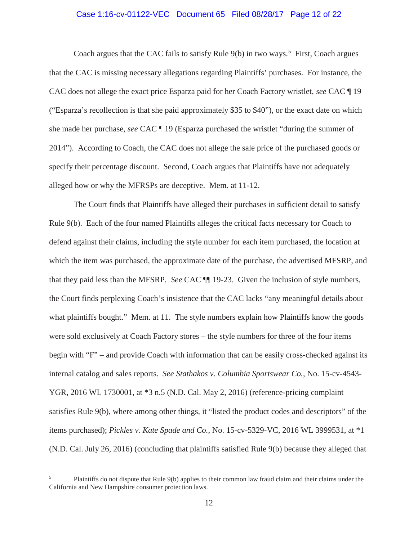### Case 1:16-cv-01122-VEC Document 65 Filed 08/28/17 Page 12 of 22

Coach argues that the CAC fails to satisfy Rule  $9(b)$  in two ways.<sup>5</sup> First, Coach argues that the CAC is missing necessary allegations regarding Plaintiffs' purchases. For instance, the CAC does not allege the exact price Esparza paid for her Coach Factory wristlet, *see* CAC ¶ 19 ("Esparza's recollection is that she paid approximately \$35 to \$40"), or the exact date on which she made her purchase, *see* CAC ¶ 19 (Esparza purchased the wristlet "during the summer of 2014"). According to Coach, the CAC does not allege the sale price of the purchased goods or specify their percentage discount. Second, Coach argues that Plaintiffs have not adequately alleged how or why the MFRSPs are deceptive. Mem. at 11-12.

The Court finds that Plaintiffs have alleged their purchases in sufficient detail to satisfy Rule 9(b). Each of the four named Plaintiffs alleges the critical facts necessary for Coach to defend against their claims, including the style number for each item purchased, the location at which the item was purchased, the approximate date of the purchase, the advertised MFSRP, and that they paid less than the MFSRP. *See* CAC ¶¶ 19-23. Given the inclusion of style numbers, the Court finds perplexing Coach's insistence that the CAC lacks "any meaningful details about what plaintiffs bought." Mem. at 11. The style numbers explain how Plaintiffs know the goods were sold exclusively at Coach Factory stores – the style numbers for three of the four items begin with "F" – and provide Coach with information that can be easily cross-checked against its internal catalog and sales reports. *See Stathakos v. Columbia Sportswear Co.*, No. 15-cv-4543- YGR, 2016 WL 1730001, at \*3 n.5 (N.D. Cal. May 2, 2016) (reference-pricing complaint satisfies Rule 9(b), where among other things, it "listed the product codes and descriptors" of the items purchased); *Pickles v. Kate Spade and Co.*, No. 15-cv-5329-VC, 2016 WL 3999531, at \*1 (N.D. Cal. July 26, 2016) (concluding that plaintiffs satisfied Rule 9(b) because they alleged that

 5 Plaintiffs do not dispute that Rule 9(b) applies to their common law fraud claim and their claims under the California and New Hampshire consumer protection laws.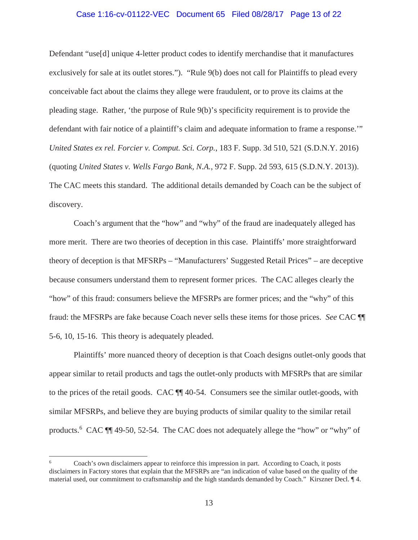### Case 1:16-cv-01122-VEC Document 65 Filed 08/28/17 Page 13 of 22

Defendant "use[d] unique 4-letter product codes to identify merchandise that it manufactures exclusively for sale at its outlet stores."). "Rule 9(b) does not call for Plaintiffs to plead every conceivable fact about the claims they allege were fraudulent, or to prove its claims at the pleading stage. Rather, 'the purpose of Rule 9(b)'s specificity requirement is to provide the defendant with fair notice of a plaintiff's claim and adequate information to frame a response.'" *United States ex rel. Forcier v. Comput. Sci. Corp.*, 183 F. Supp. 3d 510, 521 (S.D.N.Y. 2016) (quoting *United States v. Wells Fargo Bank, N.A.*, 972 F. Supp. 2d 593, 615 (S.D.N.Y. 2013)). The CAC meets this standard. The additional details demanded by Coach can be the subject of discovery.

Coach's argument that the "how" and "why" of the fraud are inadequately alleged has more merit. There are two theories of deception in this case. Plaintiffs' more straightforward theory of deception is that MFSRPs – "Manufacturers' Suggested Retail Prices" – are deceptive because consumers understand them to represent former prices. The CAC alleges clearly the "how" of this fraud: consumers believe the MFSRPs are former prices; and the "why" of this fraud: the MFSRPs are fake because Coach never sells these items for those prices. *See* CAC ¶¶ 5-6, 10, 15-16. This theory is adequately pleaded.

Plaintiffs' more nuanced theory of deception is that Coach designs outlet-only goods that appear similar to retail products and tags the outlet-only products with MFSRPs that are similar to the prices of the retail goods. CAC ¶¶ 40-54. Consumers see the similar outlet-goods, with similar MFSRPs, and believe they are buying products of similar quality to the similar retail products.<sup>6</sup> CAC  $\P$  49-50, 52-54. The CAC does not adequately allege the "how" or "why" of

 $\overline{\phantom{a}}$ 

<sup>6</sup> Coach's own disclaimers appear to reinforce this impression in part. According to Coach, it posts disclaimers in Factory stores that explain that the MFSRPs are "an indication of value based on the quality of the material used, our commitment to craftsmanship and the high standards demanded by Coach." Kirszner Decl. ¶ 4.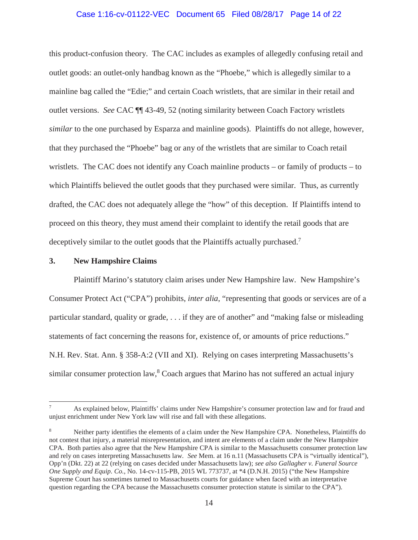## Case 1:16-cv-01122-VEC Document 65 Filed 08/28/17 Page 14 of 22

this product-confusion theory. The CAC includes as examples of allegedly confusing retail and outlet goods: an outlet-only handbag known as the "Phoebe," which is allegedly similar to a mainline bag called the "Edie;" and certain Coach wristlets, that are similar in their retail and outlet versions. *See* CAC ¶¶ 43-49, 52 (noting similarity between Coach Factory wristlets *similar* to the one purchased by Esparza and mainline goods). Plaintiffs do not allege, however, that they purchased the "Phoebe" bag or any of the wristlets that are similar to Coach retail wristlets. The CAC does not identify any Coach mainline products – or family of products – to which Plaintiffs believed the outlet goods that they purchased were similar. Thus, as currently drafted, the CAC does not adequately allege the "how" of this deception. If Plaintiffs intend to proceed on this theory, they must amend their complaint to identify the retail goods that are deceptively similar to the outlet goods that the Plaintiffs actually purchased.<sup>7</sup>

### **3. New Hampshire Claims**

 $\overline{\phantom{a}}$ 

Plaintiff Marino's statutory claim arises under New Hampshire law. New Hampshire's Consumer Protect Act ("CPA") prohibits, *inter alia*, "representing that goods or services are of a particular standard, quality or grade, . . . if they are of another" and "making false or misleading statements of fact concerning the reasons for, existence of, or amounts of price reductions." N.H. Rev. Stat. Ann. § 358-A:2 (VII and XI). Relying on cases interpreting Massachusetts's similar consumer protection law,<sup>8</sup> Coach argues that Marino has not suffered an actual injury

<sup>7</sup> As explained below, Plaintiffs' claims under New Hampshire's consumer protection law and for fraud and unjust enrichment under New York law will rise and fall with these allegations.

<sup>8</sup> Neither party identifies the elements of a claim under the New Hampshire CPA. Nonetheless, Plaintiffs do not contest that injury, a material misrepresentation, and intent are elements of a claim under the New Hampshire CPA. Both parties also agree that the New Hampshire CPA is similar to the Massachusetts consumer protection law and rely on cases interpreting Massachusetts law. *See* Mem. at 16 n.11 (Massachusetts CPA is "virtually identical"), Opp'n (Dkt. 22) at 22 (relying on cases decided under Massachusetts law); *see also Gallagher v. Funeral Source One Supply and Equip. Co.*, No. 14-cv-115-PB, 2015 WL 773737, at \*4 (D.N.H. 2015) ("the New Hampshire Supreme Court has sometimes turned to Massachusetts courts for guidance when faced with an interpretative question regarding the CPA because the Massachusetts consumer protection statute is similar to the CPA").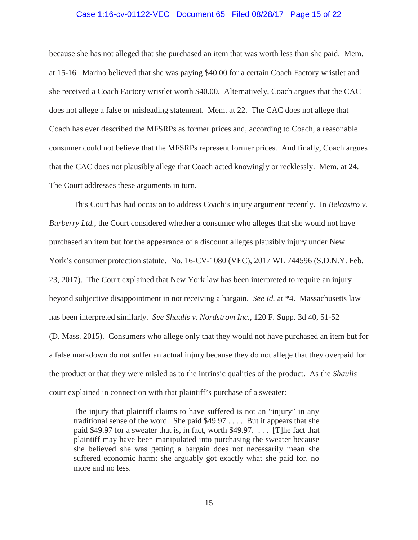#### Case 1:16-cv-01122-VEC Document 65 Filed 08/28/17 Page 15 of 22

because she has not alleged that she purchased an item that was worth less than she paid. Mem. at 15-16. Marino believed that she was paying \$40.00 for a certain Coach Factory wristlet and she received a Coach Factory wristlet worth \$40.00. Alternatively, Coach argues that the CAC does not allege a false or misleading statement. Mem. at 22. The CAC does not allege that Coach has ever described the MFSRPs as former prices and, according to Coach, a reasonable consumer could not believe that the MFSRPs represent former prices. And finally, Coach argues that the CAC does not plausibly allege that Coach acted knowingly or recklessly. Mem. at 24. The Court addresses these arguments in turn.

This Court has had occasion to address Coach's injury argument recently. In *Belcastro v. Burberry Ltd.*, the Court considered whether a consumer who alleges that she would not have purchased an item but for the appearance of a discount alleges plausibly injury under New York's consumer protection statute. No. 16-CV-1080 (VEC), 2017 WL 744596 (S.D.N.Y. Feb. 23, 2017). The Court explained that New York law has been interpreted to require an injury beyond subjective disappointment in not receiving a bargain. *See Id.* at \*4. Massachusetts law has been interpreted similarly. *See Shaulis v. Nordstrom Inc.*, 120 F. Supp. 3d 40, 51-52 (D. Mass. 2015). Consumers who allege only that they would not have purchased an item but for a false markdown do not suffer an actual injury because they do not allege that they overpaid for the product or that they were misled as to the intrinsic qualities of the product. As the *Shaulis*  court explained in connection with that plaintiff's purchase of a sweater:

The injury that plaintiff claims to have suffered is not an "injury" in any traditional sense of the word. She paid \$49.97 . . . . But it appears that she paid \$49.97 for a sweater that is, in fact, worth \$49.97. . . . [T]he fact that plaintiff may have been manipulated into purchasing the sweater because she believed she was getting a bargain does not necessarily mean she suffered economic harm: she arguably got exactly what she paid for, no more and no less.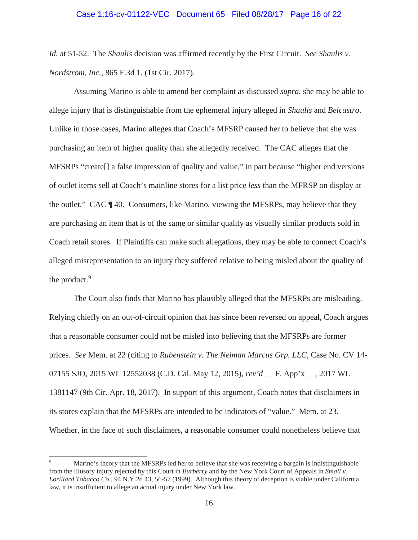*Id.* at 51-52. The *Shaulis* decision was affirmed recently by the First Circuit. *See Shaulis v. Nordstrom, Inc.*, 865 F.3d 1, (1st Cir. 2017).

 Assuming Marino is able to amend her complaint as discussed *supra*, she may be able to allege injury that is distinguishable from the ephemeral injury alleged in *Shaulis* and *Belcastro*. Unlike in those cases, Marino alleges that Coach's MFSRP caused her to believe that she was purchasing an item of higher quality than she allegedly received. The CAC alleges that the MFSRPs "create[] a false impression of quality and value," in part because "higher end versions of outlet items sell at Coach's mainline stores for a list price *less* than the MFRSP on display at the outlet." CAC ¶ 40. Consumers, like Marino, viewing the MFSRPs, may believe that they are purchasing an item that is of the same or similar quality as visually similar products sold in Coach retail stores. If Plaintiffs can make such allegations, they may be able to connect Coach's alleged misrepresentation to an injury they suffered relative to being misled about the quality of the product. $9$ 

The Court also finds that Marino has plausibly alleged that the MFSRPs are misleading. Relying chiefly on an out-of-circuit opinion that has since been reversed on appeal, Coach argues that a reasonable consumer could not be misled into believing that the MFSRPs are former prices. *See* Mem. at 22 (citing to *Rubenstein v. The Neiman Marcus Grp. LLC*, Case No. CV 14- 07155 SJO, 2015 WL 12552038 (C.D. Cal. May 12, 2015), *rev'd* \_\_ F. App'x \_\_, 2017 WL 1381147 (9th Cir. Apr. 18, 2017). In support of this argument, Coach notes that disclaimers in its stores explain that the MFSRPs are intended to be indicators of "value." Mem. at 23. Whether, in the face of such disclaimers, a reasonable consumer could nonetheless believe that

 $\overline{\phantom{a}}$ 

<sup>9</sup> Marino's theory that the MFSRPs led her to believe that she was receiving a bargain is indistinguishable from the illusory injury rejected by this Court in *Burberry* and by the New York Court of Appeals in *Small v. Lorillard Tobacco Co.*, 94 N.Y.2d 43, 56-57 (1999). Although this theory of deception is viable under California law, it is insufficient to allege an actual injury under New York law.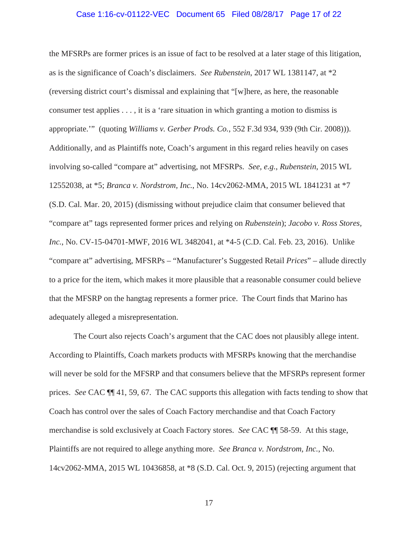### Case 1:16-cv-01122-VEC Document 65 Filed 08/28/17 Page 17 of 22

the MFSRPs are former prices is an issue of fact to be resolved at a later stage of this litigation, as is the significance of Coach's disclaimers. *See Rubenstein*, 2017 WL 1381147, at \*2 (reversing district court's dismissal and explaining that "[w]here, as here, the reasonable consumer test applies . . . , it is a 'rare situation in which granting a motion to dismiss is appropriate.'" (quoting *Williams v. Gerber Prods. Co.*, 552 F.3d 934, 939 (9th Cir. 2008))). Additionally, and as Plaintiffs note, Coach's argument in this regard relies heavily on cases involving so-called "compare at" advertising, not MFSRPs. *See, e.g.*, *Rubenstein*, 2015 WL 12552038, at \*5; *Branca v. Nordstrom, Inc.*, No. 14cv2062-MMA, 2015 WL 1841231 at \*7 (S.D. Cal. Mar. 20, 2015) (dismissing without prejudice claim that consumer believed that "compare at" tags represented former prices and relying on *Rubenstein*); *Jacobo v. Ross Stores, Inc.*, No. CV-15-04701-MWF, 2016 WL 3482041, at \*4-5 (C.D. Cal. Feb. 23, 2016). Unlike "compare at" advertising, MFSRPs – "Manufacturer's Suggested Retail *Prices*" – allude directly to a price for the item, which makes it more plausible that a reasonable consumer could believe that the MFSRP on the hangtag represents a former price. The Court finds that Marino has adequately alleged a misrepresentation.

The Court also rejects Coach's argument that the CAC does not plausibly allege intent. According to Plaintiffs, Coach markets products with MFSRPs knowing that the merchandise will never be sold for the MFSRP and that consumers believe that the MFSRPs represent former prices. *See* CAC ¶¶ 41, 59, 67. The CAC supports this allegation with facts tending to show that Coach has control over the sales of Coach Factory merchandise and that Coach Factory merchandise is sold exclusively at Coach Factory stores. *See* CAC ¶¶ 58-59. At this stage, Plaintiffs are not required to allege anything more. *See Branca v. Nordstrom, Inc.*, No. 14cv2062-MMA, 2015 WL 10436858, at \*8 (S.D. Cal. Oct. 9, 2015) (rejecting argument that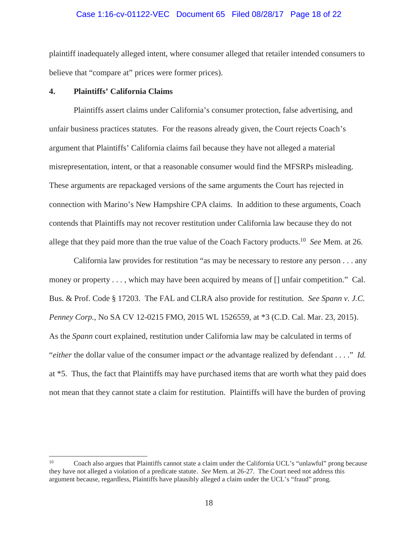### Case 1:16-cv-01122-VEC Document 65 Filed 08/28/17 Page 18 of 22

plaintiff inadequately alleged intent, where consumer alleged that retailer intended consumers to believe that "compare at" prices were former prices).

## **4. Plaintiffs' California Claims**

 $\overline{\phantom{a}}$ 

Plaintiffs assert claims under California's consumer protection, false advertising, and unfair business practices statutes. For the reasons already given, the Court rejects Coach's argument that Plaintiffs' California claims fail because they have not alleged a material misrepresentation, intent, or that a reasonable consumer would find the MFSRPs misleading. These arguments are repackaged versions of the same arguments the Court has rejected in connection with Marino's New Hampshire CPA claims. In addition to these arguments, Coach contends that Plaintiffs may not recover restitution under California law because they do not allege that they paid more than the true value of the Coach Factory products.10 *See* Mem. at 26.

California law provides for restitution "as may be necessary to restore any person . . . any money or property . . . , which may have been acquired by means of  $[]$  unfair competition." Cal. Bus. & Prof. Code § 17203. The FAL and CLRA also provide for restitution. *See Spann v. J.C. Penney Corp.*, No SA CV 12-0215 FMO, 2015 WL 1526559, at \*3 (C.D. Cal. Mar. 23, 2015). As the *Spann* court explained, restitution under California law may be calculated in terms of "*either* the dollar value of the consumer impact *or* the advantage realized by defendant . . . ." *Id.*  at \*5. Thus, the fact that Plaintiffs may have purchased items that are worth what they paid does not mean that they cannot state a claim for restitution. Plaintiffs will have the burden of proving

<sup>10</sup> Coach also argues that Plaintiffs cannot state a claim under the California UCL's "unlawful" prong because they have not alleged a violation of a predicate statute. *See* Mem. at 26-27. The Court need not address this argument because, regardless, Plaintiffs have plausibly alleged a claim under the UCL's "fraud" prong.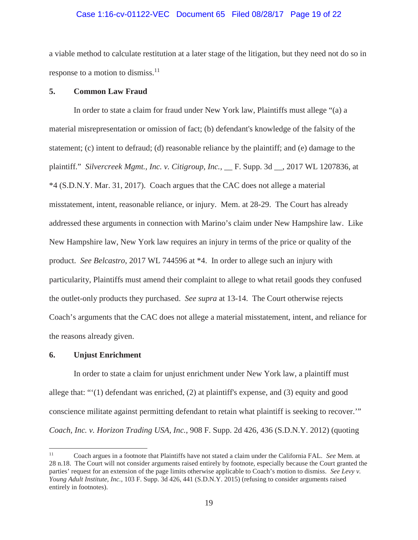### Case 1:16-cv-01122-VEC Document 65 Filed 08/28/17 Page 19 of 22

a viable method to calculate restitution at a later stage of the litigation, but they need not do so in response to a motion to dismiss.<sup>11</sup>

### **5. Common Law Fraud**

 In order to state a claim for fraud under New York law, Plaintiffs must allege "(a) a material misrepresentation or omission of fact; (b) defendant's knowledge of the falsity of the statement; (c) intent to defraud; (d) reasonable reliance by the plaintiff; and (e) damage to the plaintiff." *Silvercreek Mgmt., Inc. v. Citigroup, Inc.*, \_\_ F. Supp. 3d \_\_, 2017 WL 1207836, at \*4 (S.D.N.Y. Mar. 31, 2017). Coach argues that the CAC does not allege a material misstatement, intent, reasonable reliance, or injury. Mem. at 28-29. The Court has already addressed these arguments in connection with Marino's claim under New Hampshire law. Like New Hampshire law, New York law requires an injury in terms of the price or quality of the product. *See Belcastro*, 2017 WL 744596 at \*4. In order to allege such an injury with particularity, Plaintiffs must amend their complaint to allege to what retail goods they confused the outlet-only products they purchased. *See supra* at 13-14. The Court otherwise rejects Coach's arguments that the CAC does not allege a material misstatement, intent, and reliance for the reasons already given.

#### **6. Unjust Enrichment**

In order to state a claim for unjust enrichment under New York law, a plaintiff must allege that: "'(1) defendant was enriched, (2) at plaintiff's expense, and (3) equity and good conscience militate against permitting defendant to retain what plaintiff is seeking to recover.'" *Coach, Inc. v. Horizon Trading USA, Inc.*, 908 F. Supp. 2d 426, 436 (S.D.N.Y. 2012) (quoting

 $11 -$ 11 Coach argues in a footnote that Plaintiffs have not stated a claim under the California FAL. *See* Mem. at 28 n.18. The Court will not consider arguments raised entirely by footnote, especially because the Court granted the parties' request for an extension of the page limits otherwise applicable to Coach's motion to dismiss. *See Levy v. Young Adult Institute, Inc.*, 103 F. Supp. 3d 426, 441 (S.D.N.Y. 2015) (refusing to consider arguments raised entirely in footnotes).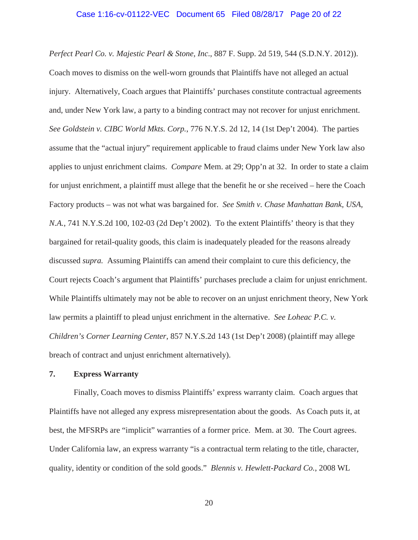### Case 1:16-cv-01122-VEC Document 65 Filed 08/28/17 Page 20 of 22

*Perfect Pearl Co. v. Majestic Pearl & Stone, Inc*., 887 F. Supp. 2d 519, 544 (S.D.N.Y. 2012)). Coach moves to dismiss on the well-worn grounds that Plaintiffs have not alleged an actual injury. Alternatively, Coach argues that Plaintiffs' purchases constitute contractual agreements and, under New York law, a party to a binding contract may not recover for unjust enrichment. *See Goldstein v. CIBC World Mkts. Corp.*, 776 N.Y.S. 2d 12, 14 (1st Dep't 2004). The parties assume that the "actual injury" requirement applicable to fraud claims under New York law also applies to unjust enrichment claims. *Compare* Mem. at 29; Opp'n at 32. In order to state a claim for unjust enrichment, a plaintiff must allege that the benefit he or she received – here the Coach Factory products – was not what was bargained for. *See Smith v. Chase Manhattan Bank, USA, N.A.*, 741 N.Y.S.2d 100, 102-03 (2d Dep't 2002). To the extent Plaintiffs' theory is that they bargained for retail-quality goods, this claim is inadequately pleaded for the reasons already discussed *supra.* Assuming Plaintiffs can amend their complaint to cure this deficiency, the Court rejects Coach's argument that Plaintiffs' purchases preclude a claim for unjust enrichment. While Plaintiffs ultimately may not be able to recover on an unjust enrichment theory, New York law permits a plaintiff to plead unjust enrichment in the alternative. *See Loheac P.C. v. Children's Corner Learning Center*, 857 N.Y.S.2d 143 (1st Dep't 2008) (plaintiff may allege breach of contract and unjust enrichment alternatively).

# **7. Express Warranty**

Finally, Coach moves to dismiss Plaintiffs' express warranty claim. Coach argues that Plaintiffs have not alleged any express misrepresentation about the goods. As Coach puts it, at best, the MFSRPs are "implicit" warranties of a former price. Mem. at 30. The Court agrees. Under California law, an express warranty "is a contractual term relating to the title, character, quality, identity or condition of the sold goods." *Blennis v. Hewlett-Packard Co.*, 2008 WL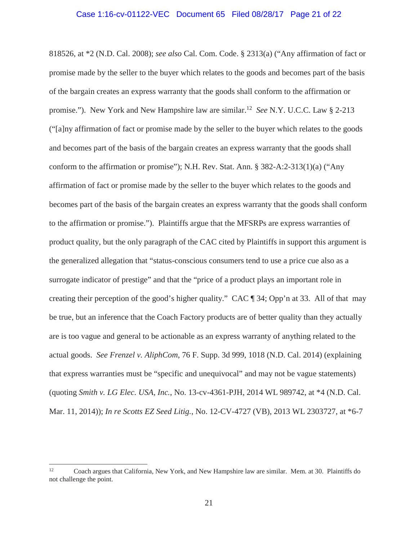### Case 1:16-cv-01122-VEC Document 65 Filed 08/28/17 Page 21 of 22

818526, at \*2 (N.D. Cal. 2008); *see also* Cal. Com. Code. § 2313(a) ("Any affirmation of fact or promise made by the seller to the buyer which relates to the goods and becomes part of the basis of the bargain creates an express warranty that the goods shall conform to the affirmation or promise."). New York and New Hampshire law are similar.12 *See* N.Y. U.C.C. Law § 2-213 ("[a]ny affirmation of fact or promise made by the seller to the buyer which relates to the goods and becomes part of the basis of the bargain creates an express warranty that the goods shall conform to the affirmation or promise"); N.H. Rev. Stat. Ann. § 382-A:2-313(1)(a) ("Any affirmation of fact or promise made by the seller to the buyer which relates to the goods and becomes part of the basis of the bargain creates an express warranty that the goods shall conform to the affirmation or promise."). Plaintiffs argue that the MFSRPs are express warranties of product quality, but the only paragraph of the CAC cited by Plaintiffs in support this argument is the generalized allegation that "status-conscious consumers tend to use a price cue also as a surrogate indicator of prestige" and that the "price of a product plays an important role in creating their perception of the good's higher quality." CAC ¶ 34; Opp'n at 33. All of that may be true, but an inference that the Coach Factory products are of better quality than they actually are is too vague and general to be actionable as an express warranty of anything related to the actual goods. *See Frenzel v. AliphCom*, 76 F. Supp. 3d 999, 1018 (N.D. Cal. 2014) (explaining that express warranties must be "specific and unequivocal" and may not be vague statements) (quoting *Smith v. LG Elec. USA, Inc.*, No. 13-cv-4361-PJH, 2014 WL 989742, at \*4 (N.D. Cal. Mar. 11, 2014)); *In re Scotts EZ Seed Litig.*, No. 12-CV-4727 (VB), 2013 WL 2303727, at \*6-7

 $12\,$ 12 Coach argues that California, New York, and New Hampshire law are similar. Mem. at 30. Plaintiffs do not challenge the point.